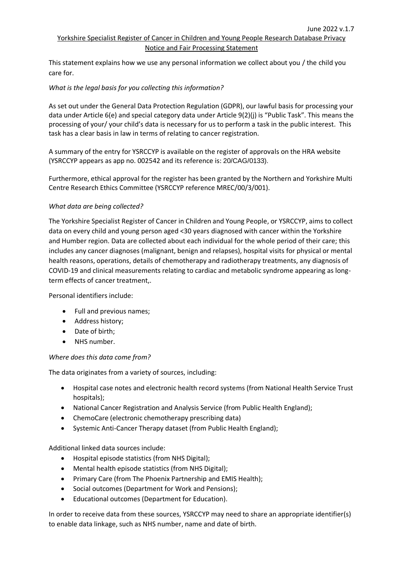# Yorkshire Specialist Register of Cancer in Children and Young People Research Database Privacy Notice and Fair Processing Statement

This statement explains how we use any personal information we collect about you / the child you care for.

# *What is the legal basis for you collecting this information?*

As set out under the General Data Protection Regulation (GDPR), our lawful basis for processing your data under Article 6(e) and special category data under Article 9(2)(j) is "Public Task". This means the processing of your/ your child's data is necessary for us to perform a task in the public interest. This task has a clear basis in law in terms of relating to cancer registration.

A summary of the entry for YSRCCYP is available on the register of approvals on the HRA website (YSRCCYP appears as app no. 002542 and its reference is: 20/CAG/0133).

Furthermore, ethical approval for the register has been granted by the Northern and Yorkshire Multi Centre Research Ethics Committee (YSRCCYP reference MREC/00/3/001).

## *What data are being collected?*

The Yorkshire Specialist Register of Cancer in Children and Young People, or YSRCCYP, aims to collect data on every child and young person aged <30 years diagnosed with cancer within the Yorkshire and Humber region. Data are collected about each individual for the whole period of their care; this includes any cancer diagnoses (malignant, benign and relapses), hospital visits for physical or mental health reasons, operations, details of chemotherapy and radiotherapy treatments, any diagnosis of COVID-19 and clinical measurements relating to cardiac and metabolic syndrome appearing as longterm effects of cancer treatment,.

Personal identifiers include:

- Full and previous names;
- Address history;
- Date of birth;
- NHS number.

## *Where does this data come from?*

The data originates from a variety of sources, including:

- Hospital case notes and electronic health record systems (from National Health Service Trust hospitals);
- National Cancer Registration and Analysis Service (from Public Health England);
- ChemoCare (electronic chemotherapy prescribing data)
- Systemic Anti-Cancer Therapy dataset (from Public Health England);

Additional linked data sources include:

- Hospital episode statistics (from NHS Digital);
- Mental health episode statistics (from NHS Digital);
- Primary Care (from The Phoenix Partnership and EMIS Health);
- Social outcomes (Department for Work and Pensions);
- Educational outcomes (Department for Education).

In order to receive data from these sources, YSRCCYP may need to share an appropriate identifier(s) to enable data linkage, such as NHS number, name and date of birth.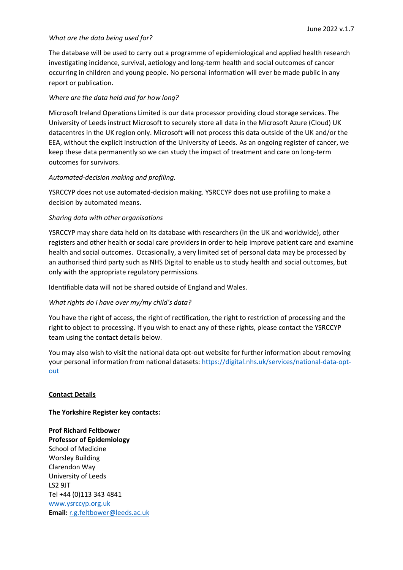### *What are the data being used for?*

The database will be used to carry out a programme of epidemiological and applied health research investigating incidence, survival, aetiology and long-term health and social outcomes of cancer occurring in children and young people. No personal information will ever be made public in any report or publication.

### *Where are the data held and for how long?*

Microsoft Ireland Operations Limited is our data processor providing cloud storage services. The University of Leeds instruct Microsoft to securely store all data in the Microsoft Azure (Cloud) UK datacentres in the UK region only. Microsoft will not process this data outside of the UK and/or the EEA, without the explicit instruction of the University of Leeds. As an ongoing register of cancer, we keep these data permanently so we can study the impact of treatment and care on long-term outcomes for survivors.

### *Automated-decision making and profiling.*

YSRCCYP does not use automated-decision making. YSRCCYP does not use profiling to make a decision by automated means.

### *Sharing data with other organisations*

YSRCCYP may share data held on its database with researchers (in the UK and worldwide), other registers and other health or social care providers in order to help improve patient care and examine health and social outcomes. Occasionally, a very limited set of personal data may be processed by an authorised third party such as NHS Digital to enable us to study health and social outcomes, but only with the appropriate regulatory permissions.

Identifiable data will not be shared outside of England and Wales.

## *What rights do I have over my/my child's data?*

You have the right of access, the right of rectification, the right to restriction of processing and the right to object to processing. If you wish to enact any of these rights, please contact the YSRCCYP team using the contact details below.

You may also wish to visit the national data opt-out website for further information about removing your personal information from national datasets: [https://digital.nhs.uk/services/national-data-opt](https://digital.nhs.uk/services/national-data-opt-out)[out](https://digital.nhs.uk/services/national-data-opt-out)

#### **Contact Details**

#### **The Yorkshire Register key contacts:**

**Prof Richard Feltbower Professor of Epidemiology** School of Medicine Worsley Building Clarendon Way University of Leeds LS2 9JT Tel +44 (0)113 343 4841 [www.ysrccyp.org.uk](http://www.ysrccyp.org.uk/) **Email:** [r.g.feltbower@leeds.ac.uk](mailto:r.g.feltbower@leeds.ac.uk)